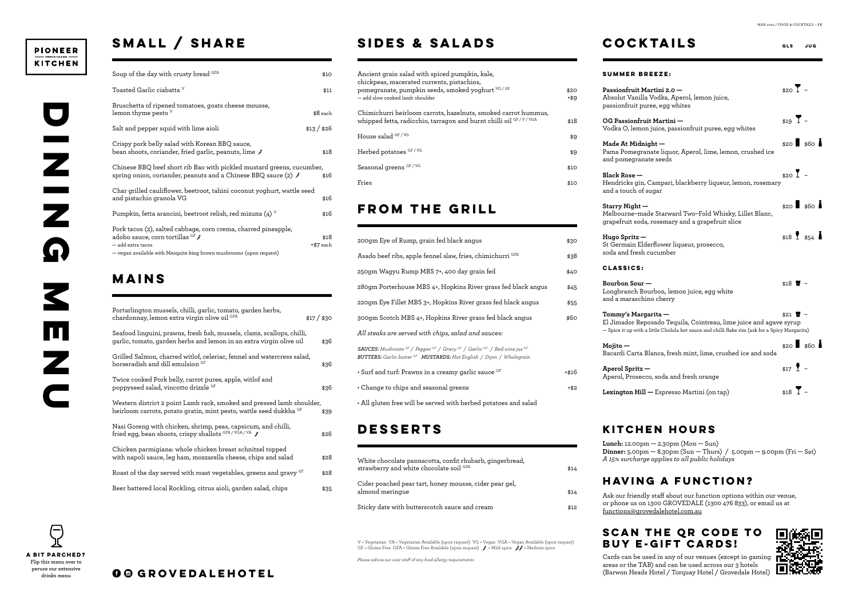#### **PIONEER KITCHEN**

# **SMALL / SHARE**

| Soup of the day with crusty bread GFA                                                                                                                                                           | \$10              |
|-------------------------------------------------------------------------------------------------------------------------------------------------------------------------------------------------|-------------------|
| Toasted Garlic ciabatta <sup>v</sup>                                                                                                                                                            | \$11              |
| Bruschetta of ripened tomatoes, goats cheese mousse,<br>lemon thyme pesto <sup>v</sup>                                                                                                          | $$8$ each         |
| Salt and pepper squid with lime aioli                                                                                                                                                           | \$13/ \$26        |
| Crispy pork belly salad with Korean BBQ sauce,<br>bean shoots, coriander, fried garlic, peanuts, lime $\check{\mathscr{J}}$                                                                     | \$18              |
| Chinese BBQ beef short rib Bao with pickled mustard greens, cucumber,<br>spring onion, coriander, peanuts and a Chinese BBQ sauce (2) $\hat{\mathcal{J}}$                                       | \$16              |
| Char grilled cauliflower, beetroot, tahini coconut yoghurt, wattle seed<br>and pistachio granola VG                                                                                             | \$16              |
| Pumpkin, fetta arancini, beetroot relish, red mizuna (4) $\rm{V}$                                                                                                                               | \$16              |
| Pork tacos (2), salted cabbage, corn crema, charred pineapple,<br>adobo sauce, corn tortillas GF∫<br>$-$ add extra tacos<br>- vegan available with Mesquite king brown mushrooms (upon request) | \$18<br>+\$7 each |

## **MAINS**

| Portarlington mussels, chilli, garlic, tomato, garden herbs,<br>chardonnay, lemon extra virgin olive oil GFA                                   | \$17 / \$30 |
|------------------------------------------------------------------------------------------------------------------------------------------------|-------------|
| Seafood linguini, prawns, fresh fish, mussels, clams, scallops, chilli,<br>garlic, tomato, garden herbs and lemon in an extra virgin olive oil | \$36        |
| Grilled Salmon, charred witlof, celeriac, fennel and watercress salad,<br>horseradish and dill emulsion <sup>GF</sup>                          | \$36        |
| Twice cooked Pork belly, carrot puree, apple, witlof and<br>poppyseed salad, vincotto drizzle GF                                               | \$36        |
| Western district 2 point Lamb rack, smoked and pressed lamb shoulder,<br>heirloom carrots, potato gratin, mint pesto, wattle seed dukkha GF    | \$39        |
| Nasi Goreng with chicken, shrimp, peas, capsicum, and chilli,<br>fried egg, bean shoots, crispy shallots GFA/VGA/VA                            | \$26        |
| Chicken parmigiana: whole chicken breast schnitzel topped<br>with napoli sauce, leg ham, mozzarella cheese, chips and salad                    | \$28        |
| Roast of the day served with roast vegetables, greens and gravy GF                                                                             | \$28        |
| Beer battered local Rockling, citrus aioli, garden salad, chips                                                                                | \$35        |

### **SIDES & SALADS**

| Ancient grain salad with spiced pumpkin, kale,<br>chickpeas, macerated currents, pistachios,<br>pomegranate, pumpkin seeds, smoked yoghurt <sup>vG/GF</sup><br>— add slow cooked lamb shoulder | \$20<br>+\$9 |
|------------------------------------------------------------------------------------------------------------------------------------------------------------------------------------------------|--------------|
| Chimichurri heirloom carrots, hazelnuts, smoked carrot hummus,<br>whipped fetta, radicchio, tarragon and burnt chilli oil GF/V/VGA                                                             | \$18         |
| House salad <sup>GF/VG</sup>                                                                                                                                                                   | \$9          |
| Herbed potatoes GF/VG                                                                                                                                                                          | \$9          |
| Seasonal greens GF/VG                                                                                                                                                                          | \$10         |
| Fries                                                                                                                                                                                          | \$10         |
|                                                                                                                                                                                                |              |

## **GGROVEDALEHOTEL**

V = Vegetarian VA = Vegetarian Available (upon request) VG = Vegan VGA = Vegan Available (upon request) GF = Gluten Free GFA = Gluten Free Available (upon request)  $\int$  = Mild spice  $\int$  = Medium spice

#### **From the grill**

| 200gm Eye of Rump, grain fed black angus                                                                                                                                                                                                | \$30    | Hugo S<br>St Geri |
|-----------------------------------------------------------------------------------------------------------------------------------------------------------------------------------------------------------------------------------------|---------|-------------------|
| Asado beef ribs, apple fennel slaw, fries, chimichurri GFA                                                                                                                                                                              | \$38    | soda aı           |
| 250gm Wagyu Rump MBS 7+, 400 day grain fed                                                                                                                                                                                              | \$40    | <b>CLAS</b>       |
| 280gm Porterhouse MBS 4+, Hopkins River grass fed black angus                                                                                                                                                                           | \$45    | Bourbo<br>Longbi  |
| 220gm Eye Fillet MBS 3+, Hopkins River grass fed black angus                                                                                                                                                                            | \$55    | and a r           |
| 300gm Scotch MBS 4+, Hopkins River grass fed black angus                                                                                                                                                                                | \$60    | Tomm<br>El Jima   |
| All steaks are served with chips, salad and sauces:                                                                                                                                                                                     |         | - Spice           |
| <b>SAUCES:</b> Mushroom <sup>GF</sup> / Pepper <sup>GF</sup> / Gravy <sup>GF</sup> / Garlic <sup>GF</sup> / Red wine jus <sup>GF</sup><br><b>BUTTERS:</b> Garlic butter <sup>GF</sup> <b>MUSTARDS:</b> Hot English / Dijon / Wholegrain |         | Mojito<br>Bacard  |
| • Surf and turf: Prawns in a creamy garlic sauce GF                                                                                                                                                                                     | $+ $16$ | Aperol<br>Aperol  |
| • Change to chips and seasonal greens                                                                                                                                                                                                   | $+ $2$  | Lexina            |

• All gluten free will be served with herbed potatoes and salad

### **DESSERTS**

| White chocolate pannacotta, confit rhubarb, gingerbread,<br>strawberry and white chocolate soil GFA | \$14 |
|-----------------------------------------------------------------------------------------------------|------|
| Cider poached pear tart, honey mousse, cider pear gel,<br>almond meringue                           | \$14 |
| Sticky date with butterscotch sauce and cream                                                       | \$12 |

**COCKTAILS GLS JUG**

|              | <b>SUMMER BREEZE:</b>                                                                                                                                                                       |                                 |             |  |
|--------------|---------------------------------------------------------------------------------------------------------------------------------------------------------------------------------------------|---------------------------------|-------------|--|
| O<br>9       | Passionfruit Martini 2.0 -<br>Absolut Vanilla Vodka, Aperol, lemon juice,<br>passionfruit puree, egg whites                                                                                 | $$20$ $\overline{1}$ -          |             |  |
| 8.           | OG Passionfruit Martini —<br>Vodka O, lemon juice, passionfruit puree, egg whites                                                                                                           | $$19$ $\overline{1}$ -          |             |  |
| 9<br>9       | Made At Midnight -<br>Pama Pomegranate liquor, Aperol, lime, lemon, crushed ice<br>and pomegranate seeds                                                                                    |                                 | $$20$ \$60  |  |
| O<br>O       | $Black Rose -$<br>Hendricks gin, Campari, blackberry liqueur, lemon, rosemary<br>and a touch of sugar                                                                                       | $$20$ <sup><math>-</math></sup> |             |  |
| Œ            | Starry Night -<br>Melbourne-made Starward Two-Fold Whisky, Lillet Blanc,<br>grapefruit soda, rosemary and a grapefruit slice                                                                |                                 | $$20$ \$60  |  |
| O<br>8;      | $Hugo$ Spritz $-$<br>St Germain Elderflower liqueur, prosecco,<br>soda and fresh cucumber                                                                                                   |                                 | $$18$ $$54$ |  |
| O            | CLASSICS:                                                                                                                                                                                   |                                 |             |  |
| -5<br>5      | Bourbon Sour —<br>Longbranch Bourbon, lemon juice, egg white<br>and a maraschino cherry                                                                                                     | $$18$ $\overline{u}$ -          |             |  |
| O            | Tommy's Margarita —<br>El Jimador Reposado Tequila, Cointreau, lime juice and agave syrup<br>- Spice it up with a little Cholula hot sauce and chilli flake rim (ask for a Spicy Margarita) | $$21$ $\overline{w}$ -          |             |  |
|              | $Mojito -$<br>Bacardi Carta Blanca, fresh mint, lime, crushed ice and soda                                                                                                                  |                                 | $$20$ \$60  |  |
| 6            | Aperol Spritz -<br>Aperol, Prosecco, soda and fresh orange                                                                                                                                  | $$17$ $2 -$                     |             |  |
| $\mathbf{2}$ | Lexington Hill - Espresso Martini (on tap)                                                                                                                                                  | $$18$ $\overline{1}$ -          |             |  |

MAR 2022 / FOOD & COCKTAILS – PK

*Please advise our wait staff of any food allergy requirements*

**Lunch:** 12.00pm — 2.30pm (Mon — Sun) **Dinner:** 5.00pm — 8.30pm (Sun — Thurs) / 5.00pm — 9.00pm (Fri — Sat) *A 15% surcharge applies to all public holidays*

#### **KITCHEN HOURS**

Ask our friendly staff about our function options within our venue, or phone us on 1300 GROVEDALE (1300 476 833), or email us at functions@grovedalehotel.com.au



### **HAVING A FUNCTION?**

#### **SCAN THE QR CODE TO BUY E-GIFT CARDS!**

Cards can be used in any of our venues (except in gaming areas or the TAB) and can be used across our 3 hotels (Barwon Heads Hotel / Torquay Hotel / Grovedale Hotel)